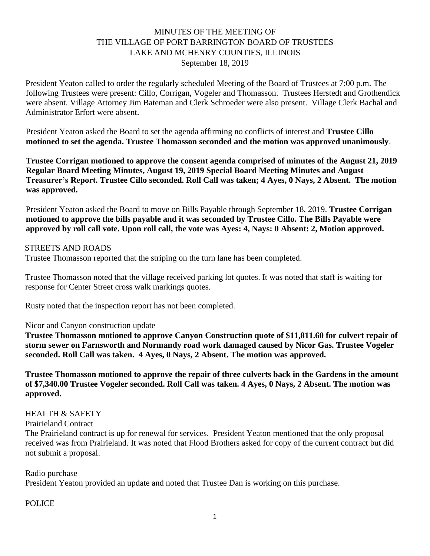# MINUTES OF THE MEETING OF THE VILLAGE OF PORT BARRINGTON BOARD OF TRUSTEES LAKE AND MCHENRY COUNTIES, ILLINOIS September 18, 2019

President Yeaton called to order the regularly scheduled Meeting of the Board of Trustees at 7:00 p.m. The following Trustees were present: Cillo, Corrigan, Vogeler and Thomasson. Trustees Herstedt and Grothendick were absent. Village Attorney Jim Bateman and Clerk Schroeder were also present. Village Clerk Bachal and Administrator Erfort were absent.

President Yeaton asked the Board to set the agenda affirming no conflicts of interest and **Trustee Cillo motioned to set the agenda. Trustee Thomasson seconded and the motion was approved unanimously**.

**Trustee Corrigan motioned to approve the consent agenda comprised of minutes of the August 21, 2019 Regular Board Meeting Minutes, August 19, 2019 Special Board Meeting Minutes and August Treasurer's Report. Trustee Cillo seconded. Roll Call was taken; 4 Ayes, 0 Nays, 2 Absent. The motion was approved.**

President Yeaton asked the Board to move on Bills Payable through September 18, 2019. **Trustee Corrigan motioned to approve the bills payable and it was seconded by Trustee Cillo. The Bills Payable were approved by roll call vote. Upon roll call, the vote was Ayes: 4, Nays: 0 Absent: 2, Motion approved.**

#### STREETS AND ROADS

Trustee Thomasson reported that the striping on the turn lane has been completed.

Trustee Thomasson noted that the village received parking lot quotes. It was noted that staff is waiting for response for Center Street cross walk markings quotes.

Rusty noted that the inspection report has not been completed.

#### Nicor and Canyon construction update

**Trustee Thomasson motioned to approve Canyon Construction quote of \$11,811.60 for culvert repair of storm sewer on Farnsworth and Normandy road work damaged caused by Nicor Gas. Trustee Vogeler seconded. Roll Call was taken. 4 Ayes, 0 Nays, 2 Absent. The motion was approved.**

**Trustee Thomasson motioned to approve the repair of three culverts back in the Gardens in the amount of \$7,340.00 Trustee Vogeler seconded. Roll Call was taken. 4 Ayes, 0 Nays, 2 Absent. The motion was approved.**

### HEALTH & SAFETY

Prairieland Contract

The Prairieland contract is up for renewal for services. President Yeaton mentioned that the only proposal received was from Prairieland. It was noted that Flood Brothers asked for copy of the current contract but did not submit a proposal.

### Radio purchase

President Yeaton provided an update and noted that Trustee Dan is working on this purchase.

### POLICE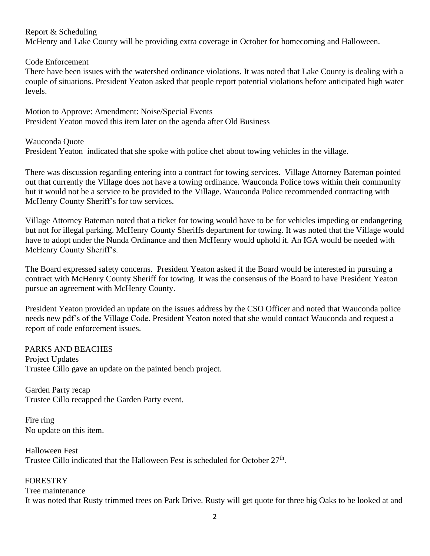### Report & Scheduling

McHenry and Lake County will be providing extra coverage in October for homecoming and Halloween.

Code Enforcement

There have been issues with the watershed ordinance violations. It was noted that Lake County is dealing with a couple of situations. President Yeaton asked that people report potential violations before anticipated high water levels.

Motion to Approve: Amendment: Noise/Special Events President Yeaton moved this item later on the agenda after Old Business

Wauconda Quote President Yeaton indicated that she spoke with police chef about towing vehicles in the village.

There was discussion regarding entering into a contract for towing services. Village Attorney Bateman pointed out that currently the Village does not have a towing ordinance. Wauconda Police tows within their community but it would not be a service to be provided to the Village. Wauconda Police recommended contracting with McHenry County Sheriff's for tow services.

Village Attorney Bateman noted that a ticket for towing would have to be for vehicles impeding or endangering but not for illegal parking. McHenry County Sheriffs department for towing. It was noted that the Village would have to adopt under the Nunda Ordinance and then McHenry would uphold it. An IGA would be needed with McHenry County Sheriff's.

The Board expressed safety concerns. President Yeaton asked if the Board would be interested in pursuing a contract with McHenry County Sheriff for towing. It was the consensus of the Board to have President Yeaton pursue an agreement with McHenry County.

President Yeaton provided an update on the issues address by the CSO Officer and noted that Wauconda police needs new pdf's of the Village Code. President Yeaton noted that she would contact Wauconda and request a report of code enforcement issues.

### PARKS AND BEACHES

Project Updates Trustee Cillo gave an update on the painted bench project.

Garden Party recap Trustee Cillo recapped the Garden Party event.

Fire ring No update on this item.

Halloween Fest Trustee Cillo indicated that the Halloween Fest is scheduled for October 27<sup>th</sup>.

### FORESTRY

Tree maintenance

It was noted that Rusty trimmed trees on Park Drive. Rusty will get quote for three big Oaks to be looked at and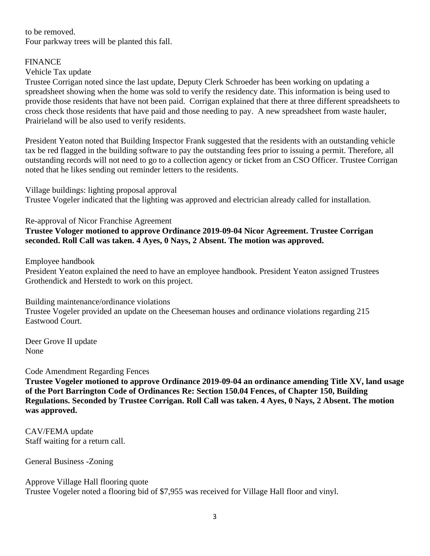to be removed. Four parkway trees will be planted this fall.

### FINANCE

### Vehicle Tax update

Trustee Corrigan noted since the last update, Deputy Clerk Schroeder has been working on updating a spreadsheet showing when the home was sold to verify the residency date. This information is being used to provide those residents that have not been paid. Corrigan explained that there at three different spreadsheets to cross check those residents that have paid and those needing to pay. A new spreadsheet from waste hauler, Prairieland will be also used to verify residents.

President Yeaton noted that Building Inspector Frank suggested that the residents with an outstanding vehicle tax be red flagged in the building software to pay the outstanding fees prior to issuing a permit. Therefore, all outstanding records will not need to go to a collection agency or ticket from an CSO Officer. Trustee Corrigan noted that he likes sending out reminder letters to the residents.

Village buildings: lighting proposal approval Trustee Vogeler indicated that the lighting was approved and electrician already called for installation.

Re-approval of Nicor Franchise Agreement

**Trustee Vologer motioned to approve Ordinance 2019-09-04 Nicor Agreement. Trustee Corrigan seconded. Roll Call was taken. 4 Ayes, 0 Nays, 2 Absent. The motion was approved.**

Employee handbook

President Yeaton explained the need to have an employee handbook. President Yeaton assigned Trustees Grothendick and Herstedt to work on this project.

Building maintenance/ordinance violations Trustee Vogeler provided an update on the Cheeseman houses and ordinance violations regarding 215 Eastwood Court.

Deer Grove II update None

Code Amendment Regarding Fences

**Trustee Vogeler motioned to approve Ordinance 2019-09-04 an ordinance amending Title XV, land usage of the Port Barrington Code of Ordinances Re: Section 150.04 Fences, of Chapter 150, Building Regulations. Seconded by Trustee Corrigan. Roll Call was taken. 4 Ayes, 0 Nays, 2 Absent. The motion was approved.**

CAV/FEMA update Staff waiting for a return call.

General Business -Zoning

Approve Village Hall flooring quote Trustee Vogeler noted a flooring bid of \$7,955 was received for Village Hall floor and vinyl.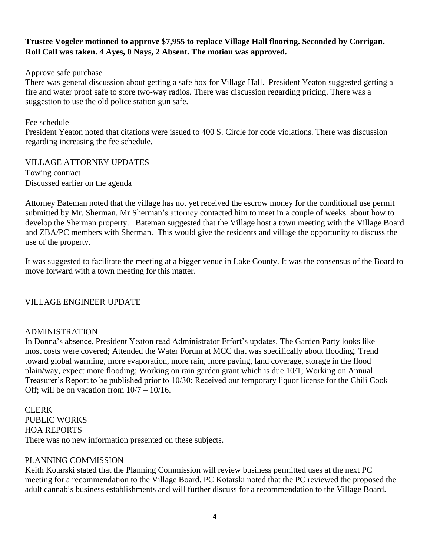## **Trustee Vogeler motioned to approve \$7,955 to replace Village Hall flooring. Seconded by Corrigan. Roll Call was taken. 4 Ayes, 0 Nays, 2 Absent. The motion was approved.**

Approve safe purchase

There was general discussion about getting a safe box for Village Hall. President Yeaton suggested getting a fire and water proof safe to store two-way radios. There was discussion regarding pricing. There was a suggestion to use the old police station gun safe.

Fee schedule President Yeaton noted that citations were issued to 400 S. Circle for code violations. There was discussion regarding increasing the fee schedule.

VILLAGE ATTORNEY UPDATES Towing contract Discussed earlier on the agenda

Attorney Bateman noted that the village has not yet received the escrow money for the conditional use permit submitted by Mr. Sherman. Mr Sherman's attorney contacted him to meet in a couple of weeks about how to develop the Sherman property. Bateman suggested that the Village host a town meeting with the Village Board and ZBA/PC members with Sherman. This would give the residents and village the opportunity to discuss the use of the property.

It was suggested to facilitate the meeting at a bigger venue in Lake County. It was the consensus of the Board to move forward with a town meeting for this matter.

### VILLAGE ENGINEER UPDATE

### ADMINISTRATION

In Donna's absence, President Yeaton read Administrator Erfort's updates. The Garden Party looks like most costs were covered; Attended the Water Forum at MCC that was specifically about flooding. Trend toward global warming, more evaporation, more rain, more paving, land coverage, storage in the flood plain/way, expect more flooding; Working on rain garden grant which is due 10/1; Working on Annual Treasurer's Report to be published prior to 10/30; Received our temporary liquor license for the Chili Cook Off; will be on vacation from  $10/7 - 10/16$ .

CLERK PUBLIC WORKS HOA REPORTS There was no new information presented on these subjects.

### PLANNING COMMISSION

Keith Kotarski stated that the Planning Commission will review business permitted uses at the next PC meeting for a recommendation to the Village Board. PC Kotarski noted that the PC reviewed the proposed the adult cannabis business establishments and will further discuss for a recommendation to the Village Board.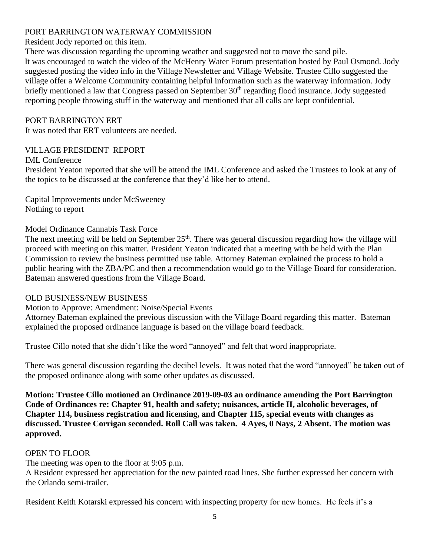### PORT BARRINGTON WATERWAY COMMISSION

Resident Jody reported on this item.

There was discussion regarding the upcoming weather and suggested not to move the sand pile. It was encouraged to watch the video of the McHenry Water Forum presentation hosted by Paul Osmond. Jody suggested posting the video info in the Village Newsletter and Village Website. Trustee Cillo suggested the village offer a Welcome Community containing helpful information such as the waterway information. Jody briefly mentioned a law that Congress passed on September 30<sup>th</sup> regarding flood insurance. Jody suggested reporting people throwing stuff in the waterway and mentioned that all calls are kept confidential.

### PORT BARRINGTON ERT

It was noted that ERT volunteers are needed.

### VILLAGE PRESIDENT REPORT

### IML Conference

President Yeaton reported that she will be attend the IML Conference and asked the Trustees to look at any of the topics to be discussed at the conference that they'd like her to attend.

Capital Improvements under McSweeney Nothing to report

# Model Ordinance Cannabis Task Force

The next meeting will be held on September  $25<sup>th</sup>$ . There was general discussion regarding how the village will proceed with meeting on this matter. President Yeaton indicated that a meeting with be held with the Plan Commission to review the business permitted use table. Attorney Bateman explained the process to hold a public hearing with the ZBA/PC and then a recommendation would go to the Village Board for consideration. Bateman answered questions from the Village Board.

### OLD BUSINESS/NEW BUSINESS

Motion to Approve: Amendment: Noise/Special Events

Attorney Bateman explained the previous discussion with the Village Board regarding this matter. Bateman explained the proposed ordinance language is based on the village board feedback.

Trustee Cillo noted that she didn't like the word "annoyed" and felt that word inappropriate.

There was general discussion regarding the decibel levels. It was noted that the word "annoyed" be taken out of the proposed ordinance along with some other updates as discussed.

**Motion: Trustee Cillo motioned an Ordinance 2019-09-03 an ordinance amending the Port Barrington Code of Ordinances re: Chapter 91, health and safety; nuisances, article II, alcoholic beverages, of Chapter 114, business registration and licensing, and Chapter 115, special events with changes as discussed. Trustee Corrigan seconded. Roll Call was taken. 4 Ayes, 0 Nays, 2 Absent. The motion was approved.**

### OPEN TO FLOOR

The meeting was open to the floor at 9:05 p.m.

A Resident expressed her appreciation for the new painted road lines. She further expressed her concern with the Orlando semi-trailer.

Resident Keith Kotarski expressed his concern with inspecting property for new homes. He feels it's a